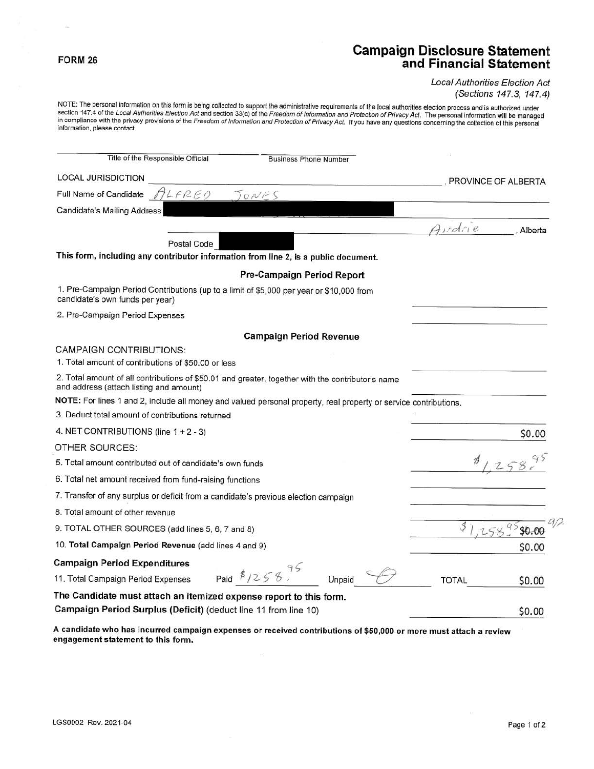# **FORM 26 Campaign Disclosure Statement and Financial Statement**

Local Authorities Election Act (Sections 147.3, 147.4)

NOTE: The personal information on this form is being collected to support the administrative requirements of the local authorities election process and is authorized under<br>section 147.4 of the *Local Authorities Election A* in compliance with the privacy provisions of the Freedom of Information and Protection of Privacy Act. If you have any questions concerning the collection of this personal information, please contact

| Title of the Responsible Official<br><b>Business Phone Number</b>                                                                            |                     |
|----------------------------------------------------------------------------------------------------------------------------------------------|---------------------|
| <b>LOCAL JURISDICTION</b>                                                                                                                    | PROVINCE OF ALBERTA |
| Full Name of Candidate $\pi L F R E D$<br>JONES                                                                                              |                     |
| <b>Candidate's Mailing Address</b>                                                                                                           |                     |
|                                                                                                                                              | Ardrie<br>Alberta   |
| Postal Code                                                                                                                                  |                     |
| This form, including any contributor information from line 2, is a public document.                                                          |                     |
| Pre-Campaign Period Report                                                                                                                   |                     |
| 1. Pre-Campaign Period Contributions (up to a limit of \$5,000 per year or \$10,000 from<br>candidate's own funds per year)                  |                     |
| 2. Pre-Campaign Period Expenses                                                                                                              |                     |
| <b>Campaign Period Revenue</b>                                                                                                               |                     |
| <b>CAMPAIGN CONTRIBUTIONS:</b>                                                                                                               |                     |
| 1. Total amount of contributions of \$50.00 or less                                                                                          |                     |
| 2. Total amount of all contributions of \$50.01 and greater, together with the contributor's name<br>and address (attach listing and amount) |                     |
| NOTE: For lines 1 and 2, include all money and valued personal property, real property or service contributions.                             |                     |
| 3. Deduct total amount of contributions returned                                                                                             |                     |
| 4. NET CONTRIBUTIONS (line $1 + 2 - 3$ )                                                                                                     | \$0.00              |
| OTHER SOURCES:                                                                                                                               |                     |
| 5. Total amount contributed out of candidate's own funds                                                                                     |                     |
| 6. Total net amount received from fund-raising functions                                                                                     |                     |
| 7. Transfer of any surplus or deficit from a candidate's previous election campaign                                                          |                     |
| 8. Total amount of other revenue                                                                                                             |                     |
| 9. TOTAL OTHER SOURCES (add lines 5, 6, 7 and 8)                                                                                             | \$0.00              |
| 10. Total Campaign Period Revenue (add lines 4 and 9)                                                                                        | \$0.00              |
| <b>Campaign Period Expenditures</b>                                                                                                          |                     |
| Paid $1258$<br>11. Total Campaign Period Expenses<br>Unpaid                                                                                  | TOTAL<br>\$0.00     |
| The Candidate must attach an itemized expense report to this form.                                                                           |                     |
| Campaign Period Surplus (Deficit) (deduct line 11 from line 10)                                                                              | \$0.00              |

**A candidate who has incurred campaign expenses or received contributions of \$50,000 or more must attach a review engagement statement to this form.**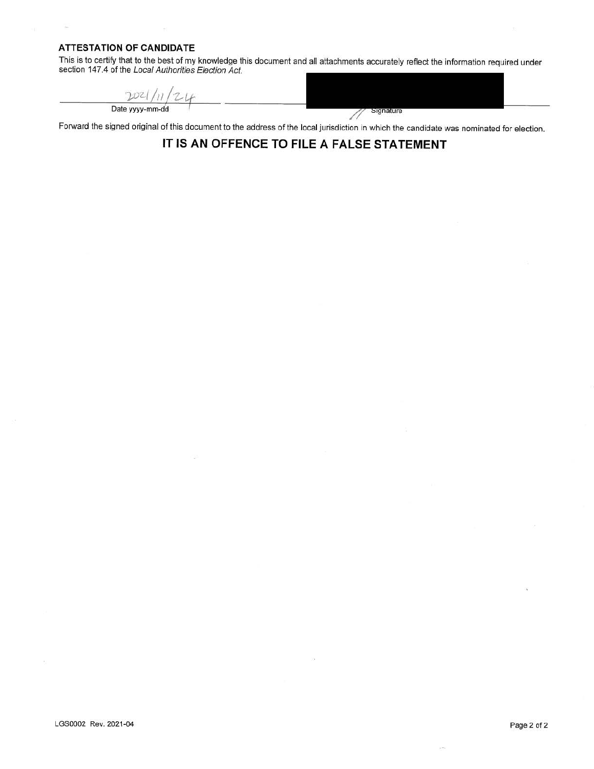### **ATTESTATION OF CANDIDATE**

 $\sim$ 

This is to certify that to the best of my knowledge this document and all attachments accurately reflect the information required under section 147.4 of the Local Authorities Election Act.

 $2021/n/24$ Date yyyy-mm-dd

Signature 11

Forward the signed original of this document to the address of the local jurisdiction in which the candidate was nominated for election.

### **IT IS AN OFFENCE TO FILE A FALSE STATEMENT**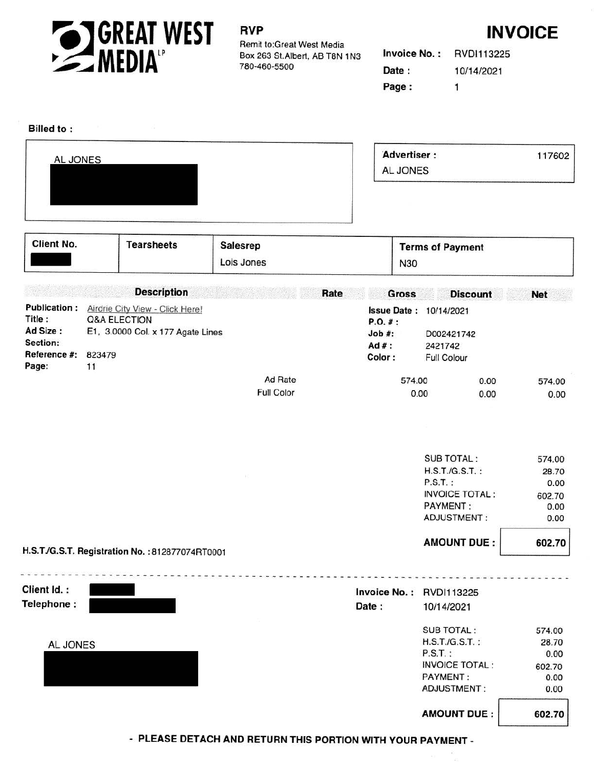

## **RVP** INVOICE

Remit to:Great West Media Box 263 St. Albert, AB T8N 1N3 780-460-5500

**Invoice No.:** RVDl113225 **Date** : 10/14/2021 **Page :** 1

 $\widehat{E}_2^0$ 

### **Billed to:**

|                                                                                                               |                                                                                                       | policy that the first state of the constant two states and constant to the constant of the state of |
|---------------------------------------------------------------------------------------------------------------|-------------------------------------------------------------------------------------------------------|-----------------------------------------------------------------------------------------------------|
| AL JONES                                                                                                      | Advertiser:                                                                                           | 117602                                                                                              |
|                                                                                                               | AL JONES                                                                                              |                                                                                                     |
|                                                                                                               | COMMERCIAL COMMUNICATION COMPANY CONTRACTOR COMMUNICATION CONTRACTOR CONTRACTOR CONTRACTOR CONTRACTOR |                                                                                                     |
|                                                                                                               |                                                                                                       |                                                                                                     |
|                                                                                                               |                                                                                                       |                                                                                                     |
|                                                                                                               |                                                                                                       |                                                                                                     |
| The Common Hole of the Common Section 1999, 1999, 1999, 1999, 1999, 1999, 1999, 1999, 1999, 1999, 1999, 1999, |                                                                                                       |                                                                                                     |

| Client No.                                                            | <b>Tearsheets</b>                                                                              | <b>Salesrep</b><br>Lois Jones | <b>N30</b>                              | <b>Terms of Payment</b>                                               |                       |                |
|-----------------------------------------------------------------------|------------------------------------------------------------------------------------------------|-------------------------------|-----------------------------------------|-----------------------------------------------------------------------|-----------------------|----------------|
|                                                                       | <b>Description</b>                                                                             | Rate                          | <b>Gross</b>                            |                                                                       | <b>Discount</b>       | <b>Net</b>     |
| <b>Publication:</b><br>Title:<br>Ad Size:<br>Section:<br>Reference #: | Airdrie City View - Click Here!<br>Q&A ELECTION<br>E1, 3.0000 Col. x 177 Agate Lines<br>823479 |                               | P. O. #:<br>Job #:<br>$Ad#$ :<br>Color: | <b>Issue Date: 10/14/2021</b><br>D002421742<br>2421742<br>Full Colour |                       |                |
| Page:                                                                 | 11                                                                                             | Ad Rate                       |                                         | 574.00                                                                | 0.00                  | 574.00         |
|                                                                       |                                                                                                | <b>Full Color</b>             |                                         | 0.00                                                                  | 0.00                  | 0.00           |
|                                                                       |                                                                                                |                               |                                         |                                                                       |                       |                |
|                                                                       |                                                                                                |                               |                                         | SUB TOTAL:                                                            |                       | 574.00         |
|                                                                       |                                                                                                |                               |                                         | $H.S.T.G.S.T.$ :                                                      |                       | 28.70          |
|                                                                       |                                                                                                |                               |                                         | $P.S.T.$ :                                                            |                       | 0.00           |
|                                                                       |                                                                                                |                               |                                         | <b>PAYMENT:</b>                                                       | <b>INVOICE TOTAL:</b> | 602.70<br>0.00 |
|                                                                       |                                                                                                |                               |                                         | ADJUSTMENT:                                                           |                       | 0.00           |
|                                                                       | H.S.T./G.S.T. Registration No. : 812877074RT0001                                               |                               |                                         |                                                                       | <b>AMOUNT DUE:</b>    | 602.70         |

| Client Id.: | Invoice No.: RVDI113225 |                       |        |
|-------------|-------------------------|-----------------------|--------|
| Telephone:  | Date:                   | 10/14/2021            |        |
|             |                         | <b>SUB TOTAL:</b>     | 574.00 |
| AL JONES    |                         | $H.S.T.JG.S.T.$ :     | 28.70  |
|             |                         | $P.S.T.$ :            | 0.00   |
|             |                         | <b>INVOICE TOTAL:</b> | 602.70 |
|             |                         | <b>PAYMENT:</b>       | 0.00   |
|             |                         | ADJUSTMENT:           | 0.00   |

- PLEASE DETACH AND RETURN THIS PORTION WITH YOUR PAYMENT -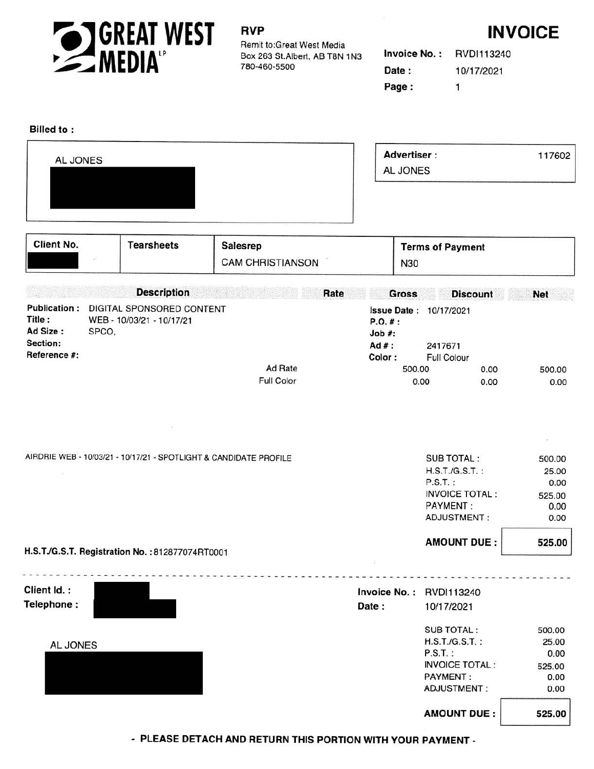

Remit to:Great West Media Box 263 St. Albert, AB T8N 1N3 780-460-5500

# **RVP INVOICE**

| Invoice No. : | RVD1113240 |  |  |
|---------------|------------|--|--|
| Date:         | 10/17/2021 |  |  |
| Page :        | -1         |  |  |

### **Billed to:**

| AL JONES | <b>Advertiser:</b><br>AL JONES | 117602 |
|----------|--------------------------------|--------|
|          |                                |        |

| Client No.                                                            | <b>Tearsheets</b>                                               | Salesrep<br><b>CAM CHRISTIANSON</b>                               | N30                                     | <b>Terms of Payment</b>                                                                                 |                                                   |
|-----------------------------------------------------------------------|-----------------------------------------------------------------|-------------------------------------------------------------------|-----------------------------------------|---------------------------------------------------------------------------------------------------------|---------------------------------------------------|
|                                                                       | <b>Description</b>                                              |                                                                   | Rate<br><b>Gross</b>                    | <b>Discount</b>                                                                                         | <b>Net</b>                                        |
| <b>Publication:</b><br>Title:<br>Ad Size:<br>Section:<br>Reference #: | DIGITAL SPONSORED CONTENT<br>WEB - 10/03/21 - 10/17/21<br>SPCO, |                                                                   | P.0.#:<br>$Job$ #:<br>$Ad#$ :<br>Color: | <b>Issue Date: 10/17/2021</b><br>2417671<br>Full Colour                                                 |                                                   |
|                                                                       |                                                                 | Ad Rate                                                           | 500.00                                  | 0.00                                                                                                    | 500.00                                            |
|                                                                       |                                                                 | Full Color                                                        |                                         | 0.00<br>0.00                                                                                            | 0.00                                              |
|                                                                       |                                                                 | AIRDRIE WEB - 10/03/21 - 10/17/21 - SPOTLIGHT & CANDIDATE PROFILE |                                         | SUB TOTAL:<br>$H.S.T.G.S.T.$ :<br>$P.S.T.$ :<br><b>INVOICE TOTAL:</b><br><b>PAYMENT:</b><br>ADJUSTMENT: | 500.00<br>25.00<br>0.00<br>525.00<br>0.00<br>0.00 |
|                                                                       | H.S.T./G.S.T. Registration No. : 812877074RT0001                |                                                                   |                                         | <b>AMOUNT DUE:</b>                                                                                      | 525.00                                            |

| Client Id.:<br>Telephone: | Date: | Invoice No.: RVDI113240<br>10/17/2021                                                                          |                                                   |
|---------------------------|-------|----------------------------------------------------------------------------------------------------------------|---------------------------------------------------|
| AL JONES                  |       | SUB TOTAL:<br>$H.S.T.G.S.T.$ :<br>$P.S.T.$ :<br><b>INVOICE TOTAL:</b><br><b>PAYMENT:</b><br><b>ADJUSTMENT:</b> | 500.00<br>25.00<br>0.00<br>525.00<br>0.00<br>0.00 |
|                           |       | <b>AMOUNT DUE:</b>                                                                                             | 525.00                                            |

• PLEASE DETACH AND RETURN THIS PORTION WITH YOUR PAYMENT-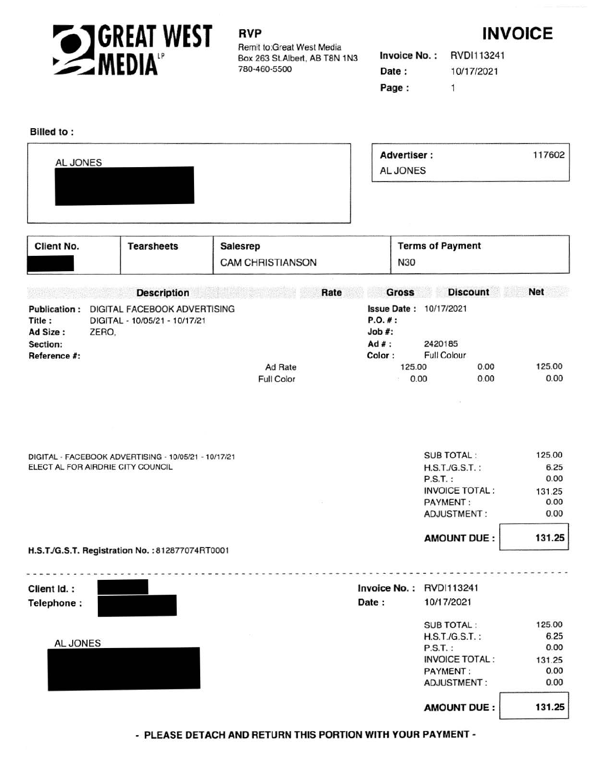

## **RVP**

Remit to:Great West Media Box 263 St.Albert, AB T8N 1N3 780-460-5500



| <b>Invoice No.:</b> | RVDI113241 |  |  |
|---------------------|------------|--|--|
| Date:               | 10/17/2021 |  |  |
| Page :              | -1.        |  |  |

### Billed to:

| AL JONES                                                                                                                                                                                                                                                                                                                                                                                                                                                                   | <b>Advertiser:</b><br><b>AL JONES</b> | 117602 |
|----------------------------------------------------------------------------------------------------------------------------------------------------------------------------------------------------------------------------------------------------------------------------------------------------------------------------------------------------------------------------------------------------------------------------------------------------------------------------|---------------------------------------|--------|
| $\frac{1}{2} \left( \frac{1}{2} \right) \left( \frac{1}{2} \right) \left( \frac{1}{2} \right) \left( \frac{1}{2} \right) \left( \frac{1}{2} \right) \left( \frac{1}{2} \right) \left( \frac{1}{2} \right) \left( \frac{1}{2} \right) \left( \frac{1}{2} \right) \left( \frac{1}{2} \right) \left( \frac{1}{2} \right) \left( \frac{1}{2} \right) \left( \frac{1}{2} \right) \left( \frac{1}{2} \right) \left( \frac{1}{2} \right) \left( \frac{1}{2} \right) \left( \frac$ |                                       |        |

| Client No.                                                            | <b>Tearsheets</b>                                                                         | <b>Salesrep</b><br><b>CAM CHRISTIANSON</b> | N30                                      | <b>Terms of Payment</b>                                                          |                        |
|-----------------------------------------------------------------------|-------------------------------------------------------------------------------------------|--------------------------------------------|------------------------------------------|----------------------------------------------------------------------------------|------------------------|
|                                                                       | <b>Description</b>                                                                        | Rate                                       | <b>Gross</b>                             | <b>Discount</b>                                                                  | <b>Net</b>             |
| <b>Publication:</b><br>Title:<br>Ad Size:<br>Section:<br>Reference #: | DIGITAL FACEBOOK ADVERTISING<br>DIGITAL - 10/05/21 - 10/17/21<br>ZERO.                    | Ad Rate                                    | P.O. #:<br>$Job$ #:<br>$Ad#$ :<br>Color: | <b>Issue Date: 10/17/2021</b><br>2420185<br><b>Full Colour</b><br>125.00<br>0.00 | 125,00                 |
|                                                                       |                                                                                           | Full Color                                 |                                          | 0.00<br>0.00                                                                     | 0.00                   |
|                                                                       | DIGITAL - FACEBOOK ADVERTISING - 10/05/21 - 10/17/21<br>ELECT AL FOR AIRDRIE CITY COUNCIL |                                            |                                          | <b>SUB TOTAL:</b><br>$H.S.T./G.S.T.$ :<br>$P.S.T.$ :                             | 125.00<br>6.25<br>0.00 |
|                                                                       |                                                                                           |                                            |                                          | <b>INVOICE TOTAL:</b><br><b>PAYMENT:</b><br>ADJUSTMENT:                          | 131.25<br>0.00<br>0.00 |
|                                                                       | H.S.T./G.S.T. Registration No. : 812877074RT0001                                          |                                            |                                          | <b>AMOUNT DUE:</b>                                                               | 131.25                 |

| Client Id.: | Invoice No.: RVDI113241 |                       |        |
|-------------|-------------------------|-----------------------|--------|
| Telephone:  | Date:                   | 10/17/2021            |        |
|             |                         | <b>SUB TOTAL:</b>     | 125.00 |
|             |                         | $H.S.T.G.S.T.$ :      | 6.25   |
| AL JONES    |                         | $P.S.T.$ :            | 0.00   |
|             |                         | <b>INVOICE TOTAL:</b> | 131.25 |
|             |                         | <b>PAYMENT:</b>       | 0.00   |
|             |                         | <b>ADJUSTMENT:</b>    | 0.00   |
|             |                         | <b>AMOUNT DUE:</b>    | 131.25 |

- **PLEASE DETACH AND RETURN THIS PORTION WITH YOUR PAYMENT -**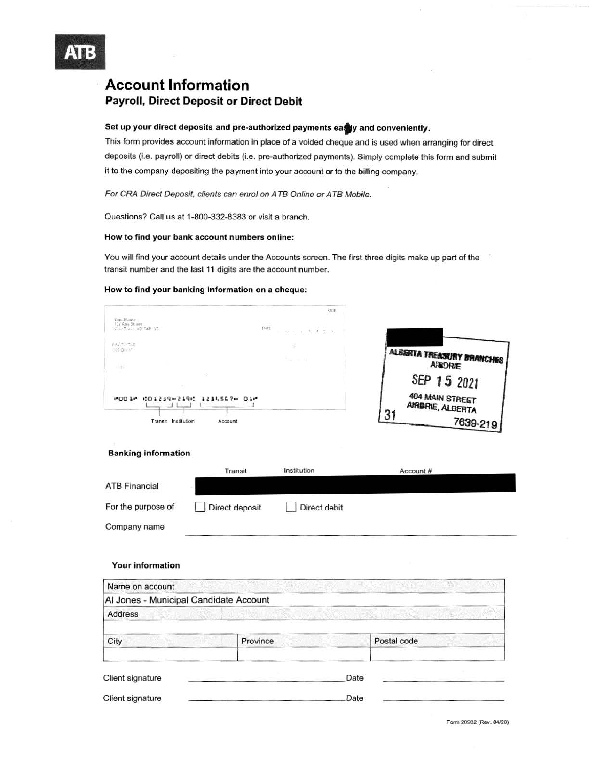

### **Account Information**  Payroll, Direct Deposit or Direct Debit

### Set up your direct deposits and pre-authorized payments easely and conveniently.

This form provides account information in place of a voided cheque and is used when arranging for direct deposits **(i.e.** payroll) or direct debits (i.e. pre-authorized payments). Simply complete this form and submit it to the company depositing the payment into your account or to the billing company.

For CRA Direct Deposit, clients can enrol on ATB Online or ATB Mobile.

Questions? Call us at 1-800-332-8383 or visit a branch.

### **How to find your bank account numbers online:**

You will find your account details under the Accounts screen. The first three digits make up part of the transit number and the last 11 digits are the account number.

#### **How to find your banking information on a cheque:**

|                                                         | OUL      |                                     |
|---------------------------------------------------------|----------|-------------------------------------|
| Tour Name<br>123 April Street<br>Year Tasm, AP, T4P 175 | forte.   |                                     |
| <b>BAT TUTES</b><br><b>CED DE AF</b>                    |          | <b>ALESKTA TREASURY BRANCHES</b>    |
| 自由                                                      | The mile | <b>AIRDRIE</b>                      |
| ×.                                                      |          | SEP 15 2021                         |
| CO1239-2190 1234567-01-<br>#00 l#                       |          | 404 MAIN STREET<br>AIRBRIE, ALBERTA |
| Transit Institution                                     | Account  | 21<br>7639-219                      |

### **Banking Information**

|                      | Transit        | Institution  | Account# |  |
|----------------------|----------------|--------------|----------|--|
| <b>ATB Financial</b> |                |              |          |  |
| For the purpose of   | Direct deposit | Direct debit |          |  |
| Company name         |                |              |          |  |

#### **Your information**

| Name on account                        |          |      |             |  |  |  |
|----------------------------------------|----------|------|-------------|--|--|--|
| Al Jones - Municipal Candidate Account |          |      |             |  |  |  |
| Address                                |          |      |             |  |  |  |
|                                        |          |      |             |  |  |  |
| City                                   | Province |      | Postal code |  |  |  |
| Client signature                       |          | Date |             |  |  |  |
|                                        |          |      |             |  |  |  |
| Client signature                       |          | Date |             |  |  |  |

Form 20932 **(Rev.** 04/20)